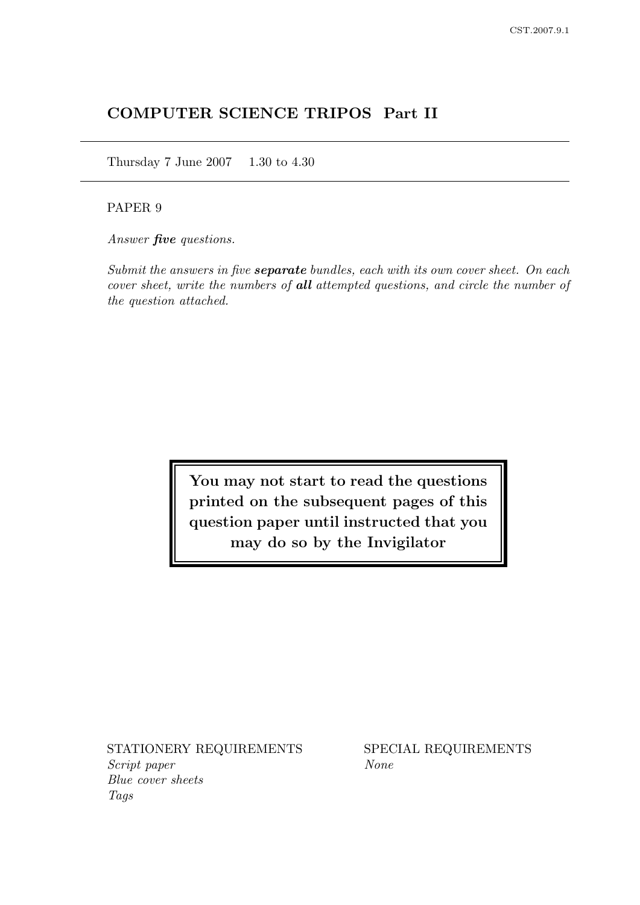# COMPUTER SCIENCE TRIPOS Part II

Thursday 7 June 2007 1.30 to 4.30

## PAPER 9

Answer **five** questions.

Submit the answers in five **separate** bundles, each with its own cover sheet. On each cover sheet, write the numbers of all attempted questions, and circle the number of the question attached.

> You may not start to read the questions printed on the subsequent pages of this question paper until instructed that you may do so by the Invigilator

STATIONERY REQUIREMENTS SPECIAL REQUIREMENTS Script paper None Blue cover sheets Tags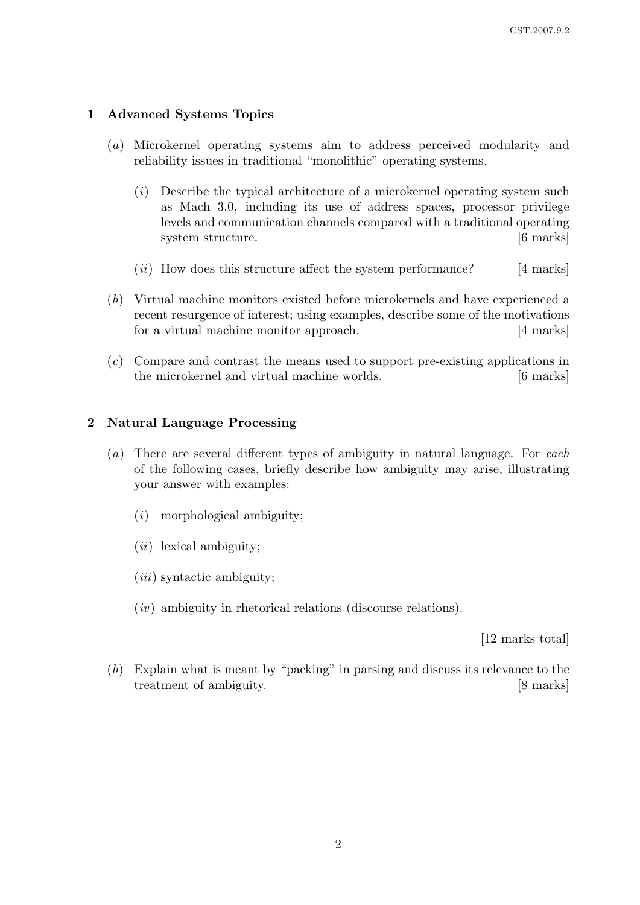# 1 Advanced Systems Topics

- (a) Microkernel operating systems aim to address perceived modularity and reliability issues in traditional "monolithic" operating systems.
	- (i) Describe the typical architecture of a microkernel operating system such as Mach 3.0, including its use of address spaces, processor privilege levels and communication channels compared with a traditional operating system structure.  $[6 \text{ marks}]$
	- $(ii)$  How does this structure affect the system performance? [4 marks]
- (b) Virtual machine monitors existed before microkernels and have experienced a recent resurgence of interest; using examples, describe some of the motivations for a virtual machine monitor approach. [4 marks]
- (c) Compare and contrast the means used to support pre-existing applications in the microkernel and virtual machine worlds. [6 marks]

### 2 Natural Language Processing

- $(a)$  There are several different types of ambiguity in natural language. For each of the following cases, briefly describe how ambiguity may arise, illustrating your answer with examples:
	- (i) morphological ambiguity;
	- $(ii)$  lexical ambiguity;
	- $(iii)$  syntactic ambiguity;
	- $(iv)$  ambiguity in rhetorical relations (discourse relations).

[12 marks total]

(b) Explain what is meant by "packing" in parsing and discuss its relevance to the treatment of ambiguity. [8 marks]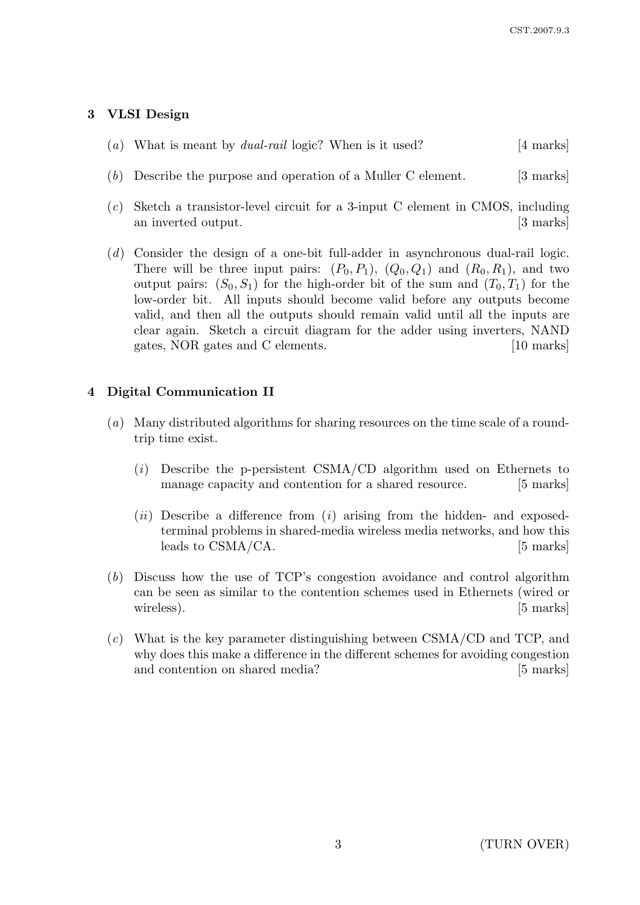# 3 VLSI Design

|  |  |  |  |  | (a) What is meant by <i>dual-rail</i> logic? When is it used? | [4 marks] |
|--|--|--|--|--|---------------------------------------------------------------|-----------|
|--|--|--|--|--|---------------------------------------------------------------|-----------|

- (b) Describe the purpose and operation of a Muller C element. [3 marks]
- (c) Sketch a transistor-level circuit for a 3-input C element in CMOS, including an inverted output. [3 marks]
- (d) Consider the design of a one-bit full-adder in asynchronous dual-rail logic. There will be three input pairs:  $(P_0, P_1)$ ,  $(Q_0, Q_1)$  and  $(R_0, R_1)$ , and two output pairs:  $(S_0, S_1)$  for the high-order bit of the sum and  $(T_0, T_1)$  for the low-order bit. All inputs should become valid before any outputs become valid, and then all the outputs should remain valid until all the inputs are clear again. Sketch a circuit diagram for the adder using inverters, NAND gates, NOR gates and C elements. [10 marks]

# 4 Digital Communication II

- (a) Many distributed algorithms for sharing resources on the time scale of a roundtrip time exist.
	- $(i)$  Describe the p-persistent CSMA/CD algorithm used on Ethernets to manage capacity and contention for a shared resource. [5 marks]
	- $(ii)$  Describe a difference from  $(i)$  arising from the hidden- and exposedterminal problems in shared-media wireless media networks, and how this leads to CSMA/CA. [5 marks]
- (b) Discuss how the use of TCP's congestion avoidance and control algorithm can be seen as similar to the contention schemes used in Ethernets (wired or wireless). [5 marks]
- $(c)$  What is the key parameter distinguishing between CSMA/CD and TCP, and why does this make a difference in the different schemes for avoiding congestion and contention on shared media? [5 marks]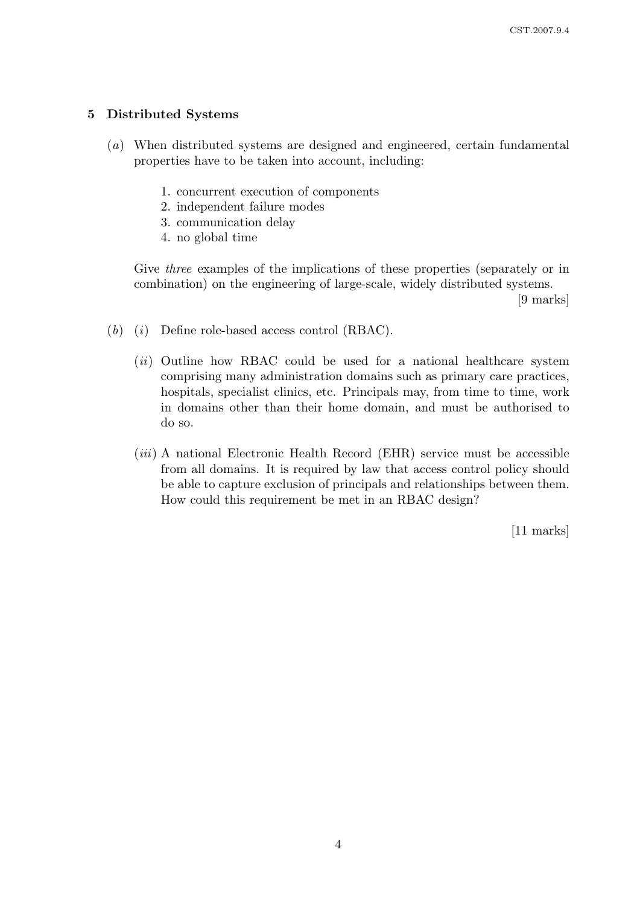### 5 Distributed Systems

- (a) When distributed systems are designed and engineered, certain fundamental properties have to be taken into account, including:
	- 1. concurrent execution of components
	- 2. independent failure modes
	- 3. communication delay
	- 4. no global time

Give *three* examples of the implications of these properties (separately or in combination) on the engineering of large-scale, widely distributed systems.

[9 marks]

- $(b)$   $(i)$  Define role-based access control (RBAC).
	- $(ii)$  Outline how RBAC could be used for a national healthcare system comprising many administration domains such as primary care practices, hospitals, specialist clinics, etc. Principals may, from time to time, work in domains other than their home domain, and must be authorised to do so.
	- $(iii)$  A national Electronic Health Record (EHR) service must be accessible from all domains. It is required by law that access control policy should be able to capture exclusion of principals and relationships between them. How could this requirement be met in an RBAC design?

[11 marks]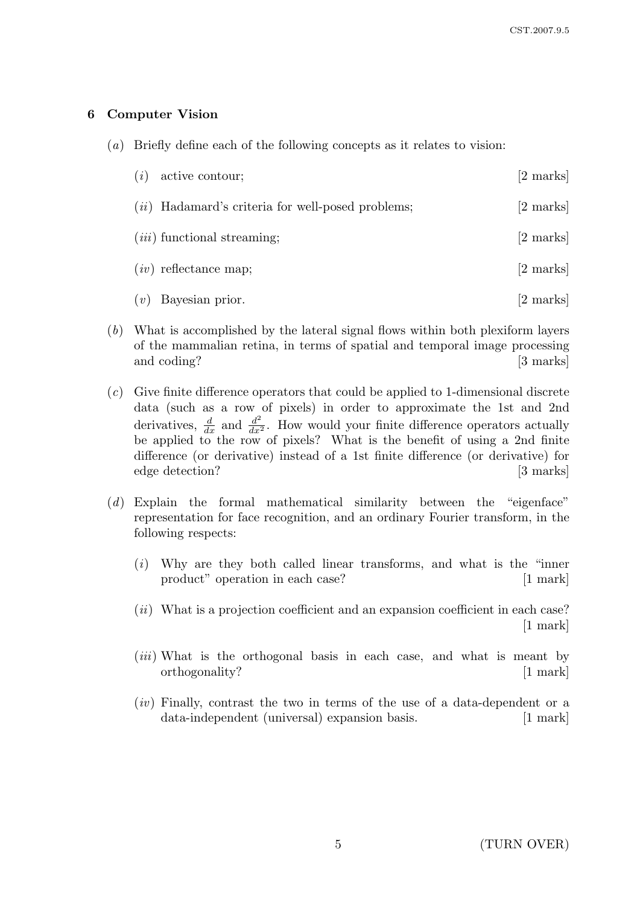### 6 Computer Vision

(a) Briefly define each of the following concepts as it relates to vision:

| (i) | active contour;                                     | [2 marks]           |
|-----|-----------------------------------------------------|---------------------|
|     | $(ii)$ Hadamard's criteria for well-posed problems; | $[2 \text{ marks}]$ |
|     | $(iii)$ functional streaming;                       | [2 marks]           |
|     | $(iv)$ reflectance map;                             | [2 marks]           |
| (v) | Bayesian prior.                                     | [2 marks]           |

- (b) What is accomplished by the lateral signal flows within both plexiform layers of the mammalian retina, in terms of spatial and temporal image processing and coding? [3 marks]
- (c) Give finite difference operators that could be applied to 1-dimensional discrete data (such as a row of pixels) in order to approximate the 1st and 2nd derivatives,  $\frac{d}{dx}$  and  $\frac{d^2}{dx^2}$ . How would your finite difference operators actually be applied to the row of pixels? What is the benefit of using a 2nd finite difference (or derivative) instead of a 1st finite difference (or derivative) for edge detection? [3 marks]
- (d) Explain the formal mathematical similarity between the "eigenface" representation for face recognition, and an ordinary Fourier transform, in the following respects:
	- (i) Why are they both called linear transforms, and what is the "inner product" operation in each case? [1 mark]
	- $(ii)$  What is a projection coefficient and an expansion coefficient in each case? [1 mark]
	- (*iii*) What is the orthogonal basis in each case, and what is meant by orthogonality? [1 mark]
	- $(iv)$  Finally, contrast the two in terms of the use of a data-dependent or a data-independent (universal) expansion basis. [1 mark]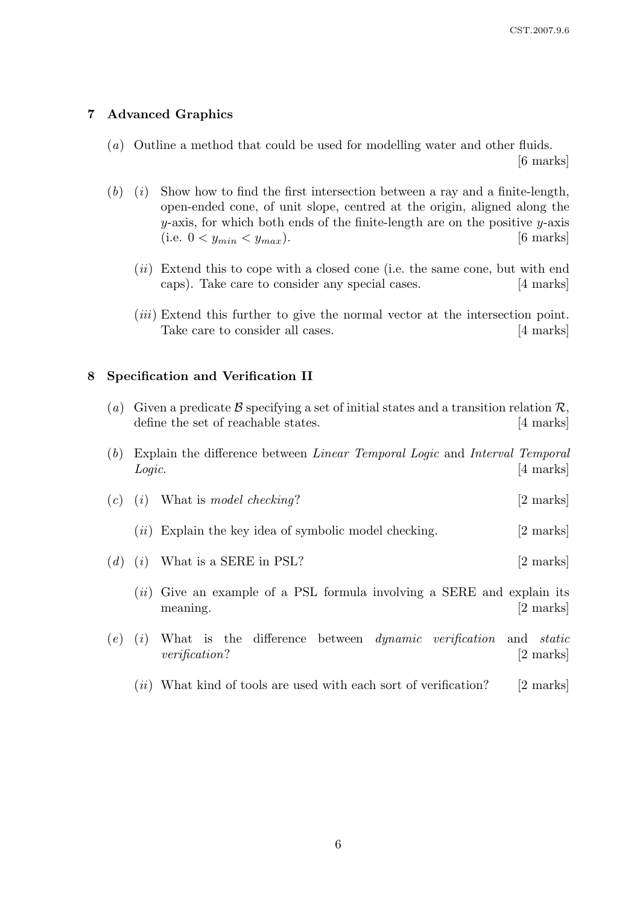## 7 Advanced Graphics

(a) Outline a method that could be used for modelling water and other fluids.

[6 marks]

- $(b)$  (i) Show how to find the first intersection between a ray and a finite-length, open-ended cone, of unit slope, centred at the origin, aligned along the  $y$ -axis, for which both ends of the finite-length are on the positive  $y$ -axis (i.e.  $0 < y_{min} < y_{max}$ ). [6 marks]
	- $(ii)$  Extend this to cope with a closed cone (i.e. the same cone, but with end caps). Take care to consider any special cases. [4 marks]
	- (*iii*) Extend this further to give the normal vector at the intersection point. Take care to consider all cases. [4 marks]

### 8 Specification and Verification II

| (a) Given a predicate B specifying a set of initial states and a transition relation $\mathcal{R}$ , |                     |
|------------------------------------------------------------------------------------------------------|---------------------|
| define the set of reachable states.                                                                  | $[4 \text{ marks}]$ |

- (b) Explain the difference between Linear Temporal Logic and Interval Temporal Logic. [4 marks]
- (c) (i) What is model checking?  $[2 \text{ marks}]$ 
	- $(ii)$  Explain the key idea of symbolic model checking. [2 marks]
- (d) (i) What is a SERE in PSL?  $[2 \text{ marks}]$ 
	- $(ii)$  Give an example of a PSL formula involving a SERE and explain its meaning. [2 marks]
- $(e)$   $(i)$  What is the difference between *dynamic verification* and *static* verification? [2 marks]
	- $(ii)$  What kind of tools are used with each sort of verification? [2 marks]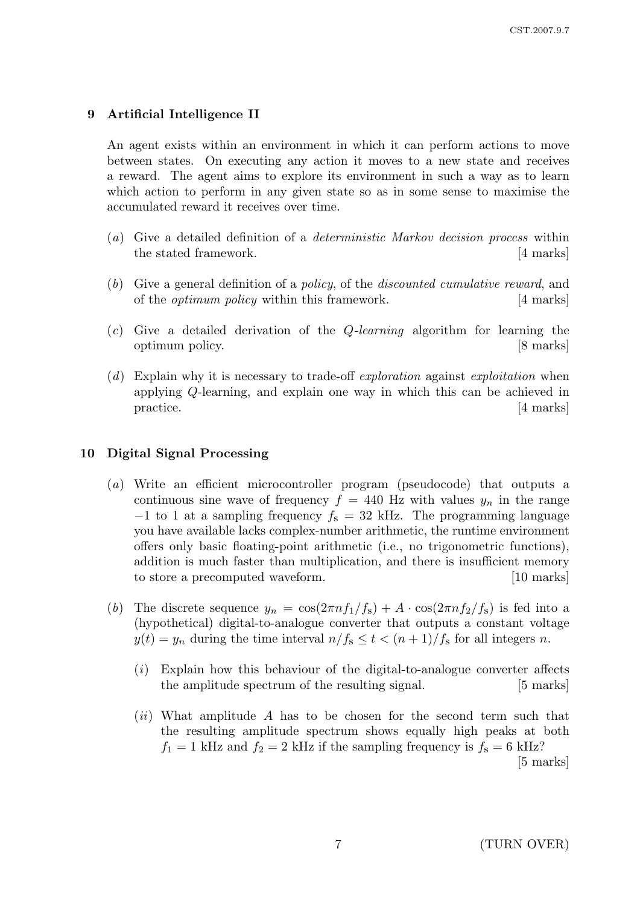# 9 Artificial Intelligence II

An agent exists within an environment in which it can perform actions to move between states. On executing any action it moves to a new state and receives a reward. The agent aims to explore its environment in such a way as to learn which action to perform in any given state so as in some sense to maximise the accumulated reward it receives over time.

- (a) Give a detailed definition of a deterministic Markov decision process within the stated framework. [4 marks]
- (b) Give a general definition of a policy, of the discounted cumulative reward, and of the optimum policy within this framework. [4 marks]
- $(c)$  Give a detailed derivation of the *Q-learning* algorithm for learning the optimum policy. [8 marks]
- (d) Explain why it is necessary to trade-off exploration against exploitation when applying Q-learning, and explain one way in which this can be achieved in practice. [4 marks]

## 10 Digital Signal Processing

- (a) Write an efficient microcontroller program (pseudocode) that outputs a continuous sine wave of frequency  $f = 440$  Hz with values  $y_n$  in the range  $-1$  to 1 at a sampling frequency  $f_s = 32$  kHz. The programming language you have available lacks complex-number arithmetic, the runtime environment offers only basic floating-point arithmetic (i.e., no trigonometric functions), addition is much faster than multiplication, and there is insufficient memory to store a precomputed waveform. [10 marks]
- (b) The discrete sequence  $y_n = \cos(2\pi n f_1/f_s) + A \cdot \cos(2\pi n f_2/f_s)$  is fed into a (hypothetical) digital-to-analogue converter that outputs a constant voltage  $y(t) = y_n$  during the time interval  $n/f_s \le t < (n+1)/f_s$  for all integers n.
	- $(i)$  Explain how this behaviour of the digital-to-analogue converter affects the amplitude spectrum of the resulting signal. [5 marks]
	- $(ii)$  What amplitude A has to be chosen for the second term such that the resulting amplitude spectrum shows equally high peaks at both  $f_1 = 1$  kHz and  $f_2 = 2$  kHz if the sampling frequency is  $f_s = 6$  kHz?

[5 marks]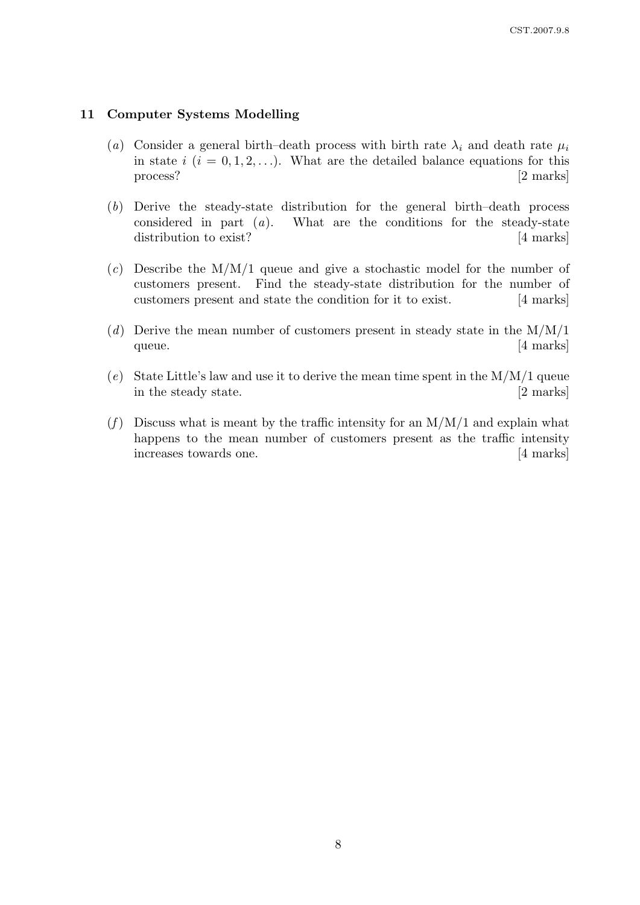### 11 Computer Systems Modelling

- (a) Consider a general birth–death process with birth rate  $\lambda_i$  and death rate  $\mu_i$ in state  $i$   $(i = 0, 1, 2, ...)$ . What are the detailed balance equations for this process? [2 marks]
- (b) Derive the steady-state distribution for the general birth–death process considered in part  $(a)$ . What are the conditions for the steady-state distribution to exist? [4 marks]
- (c) Describe the  $M/M/1$  queue and give a stochastic model for the number of customers present. Find the steady-state distribution for the number of customers present and state the condition for it to exist. [4 marks]
- (d) Derive the mean number of customers present in steady state in the  $M/M/1$ queue. [4 marks]
- (e) State Little's law and use it to derive the mean time spent in the  $M/M/1$  queue in the steady state. [2 marks]
- (f) Discuss what is meant by the traffic intensity for an  $M/M/1$  and explain what happens to the mean number of customers present as the traffic intensity increases towards one. [4 marks]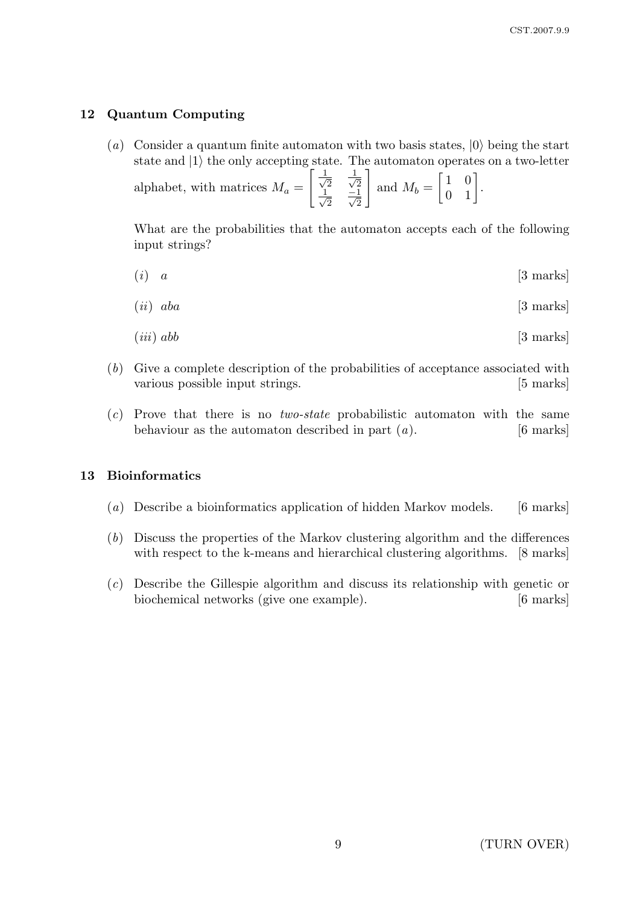### 12 Quantum Computing

(a) Consider a quantum finite automaton with two basis states,  $|0\rangle$  being the start state and  $|1\rangle$  the only accepting state. The automaton operates on a two-letter  $\lceil \frac{1}{2} \rceil$  $\overline{2}$   $\frac{1}{\sqrt{2}}$ 1

alphabet, with matrices  $M_a =$ 2  $\frac{1}{2}$  $\frac{-1}{2}$   $\frac{-1}{\sqrt{2}}$ and  $M_b =$  $\begin{bmatrix} 1 & 0 \\ 0 & 1 \end{bmatrix}$ .

What are the probabilities that the automaton accepts each of the following input strings?

 $(i)$  a [3 marks]

$$
(ii) \quad aba \tag{3 marks}
$$

$$
(iii) \; abb \qquad \qquad [3 \; marks]
$$

- (b) Give a complete description of the probabilities of acceptance associated with various possible input strings. [5 marks]
- $(c)$  Prove that there is no *two-state* probabilistic automaton with the same behaviour as the automaton described in part  $(a)$ . [6 marks]

### 13 Bioinformatics

- (a) Describe a bioinformatics application of hidden Markov models. [6 marks]
- (b) Discuss the properties of the Markov clustering algorithm and the differences with respect to the k-means and hierarchical clustering algorithms. [8 marks]
- (c) Describe the Gillespie algorithm and discuss its relationship with genetic or biochemical networks (give one example). [6 marks]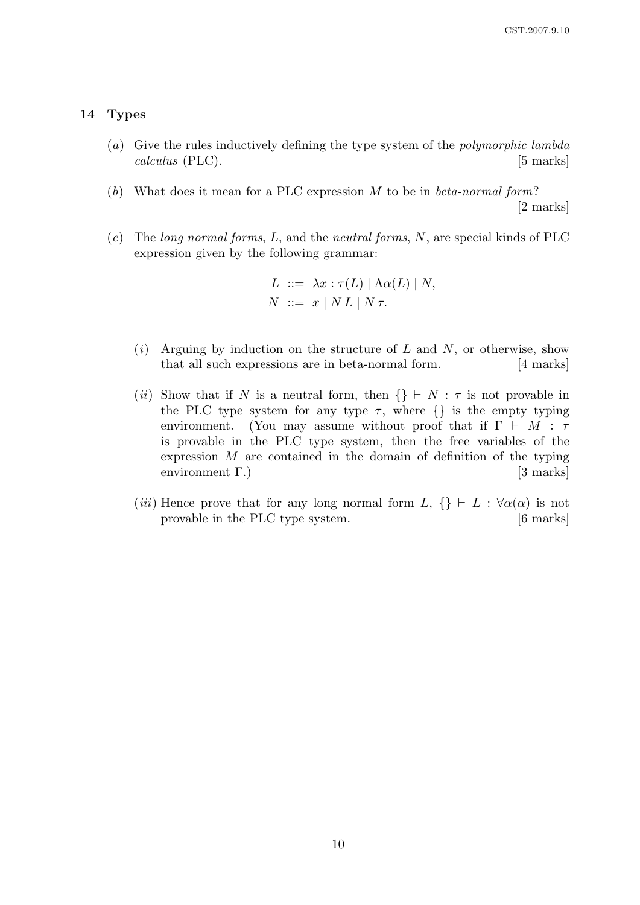#### 14 Types

- (a) Give the rules inductively defining the type system of the polymorphic lambda calculus (PLC). [5 marks]
- (b) What does it mean for a PLC expression M to be in beta-normal form? [2 marks]
- (c) The long normal forms, L, and the neutral forms, N, are special kinds of PLC expression given by the following grammar:

$$
L \ ::= \ \lambda x : \tau(L) \mid \Lambda \alpha(L) \mid N,
$$
  

$$
N \ ::= \ x \mid NL \mid N \tau.
$$

- $(i)$  Arguing by induction on the structure of L and N, or otherwise, show that all such expressions are in beta-normal form. [4 marks]
- (ii) Show that if N is a neutral form, then  $\{\}\vdash N : \tau$  is not provable in the PLC type system for any type  $\tau$ , where  $\{\}\$ is the empty typing environment. (You may assume without proof that if  $\Gamma \vdash M : \tau$ is provable in the PLC type system, then the free variables of the expression  $M$  are contained in the domain of definition of the typing environment Γ.) [3 marks]
- (iii) Hence prove that for any long normal form  $L, \{\} \vdash L : \forall \alpha(\alpha)$  is not provable in the PLC type system. [6 marks]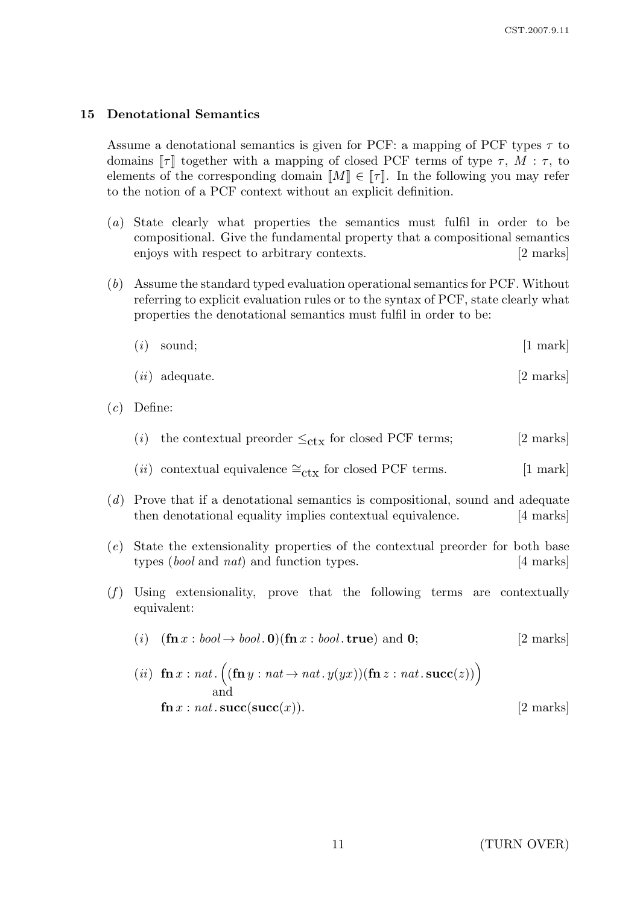### 15 Denotational Semantics

Assume a denotational semantics is given for PCF: a mapping of PCF types  $\tau$  to domains  $\llbracket \tau \rrbracket$  together with a mapping of closed PCF terms of type  $\tau$ ,  $M : \tau$ , to elements of the corresponding domain  $\llbracket M \rrbracket \in \llbracket \tau \rrbracket$ . In the following you may refer to the notion of a PCF context without an explicit definition.

- (a) State clearly what properties the semantics must fulfil in order to be compositional. Give the fundamental property that a compositional semantics enjoys with respect to arbitrary contexts. [2 marks]
- (b) Assume the standard typed evaluation operational semantics for PCF. Without referring to explicit evaluation rules or to the syntax of PCF, state clearly what properties the denotational semantics must fulfil in order to be:

$$
(i) \quad \text{sound}; \tag{1 mark}
$$

$$
(ii) \text{ adequate.} \tag{2 marks}
$$

- (c) Define:
	- (i) the contextual preorder  $\leq_{\text{ctx}}$  for closed PCF terms; [2 marks]
	- (*ii*) contextual equivalence  $\cong_{\text{ctx}}$  for closed PCF terms. [1 mark]
- (d) Prove that if a denotational semantics is compositional, sound and adequate then denotational equality implies contextual equivalence. [4 marks]
- (e) State the extensionality properties of the contextual preorder for both base types (*bool* and *nat*) and function types. [4 marks]
- $(f)$  Using extensionality, prove that the following terms are contextually equivalent:

$$
(i) \quad (\mathbf{fn} \, x : \, bool \to \text{bool.0})(\mathbf{fn} \, x : \, bool \, \mathbf{true}) \text{ and } \, \mathbf{0}; \tag{2 \, marks}
$$

(*ii*) 
$$
\mathbf{fn} x : nat \cdot ((\mathbf{fn} y : nat \rightarrow nat \cdot y(yx))(\mathbf{fn} z : nat \cdot succ(z)))
$$
  
and  
 $\mathbf{fn} x : nat \cdot succ(succ(x)).$  [2 marks]